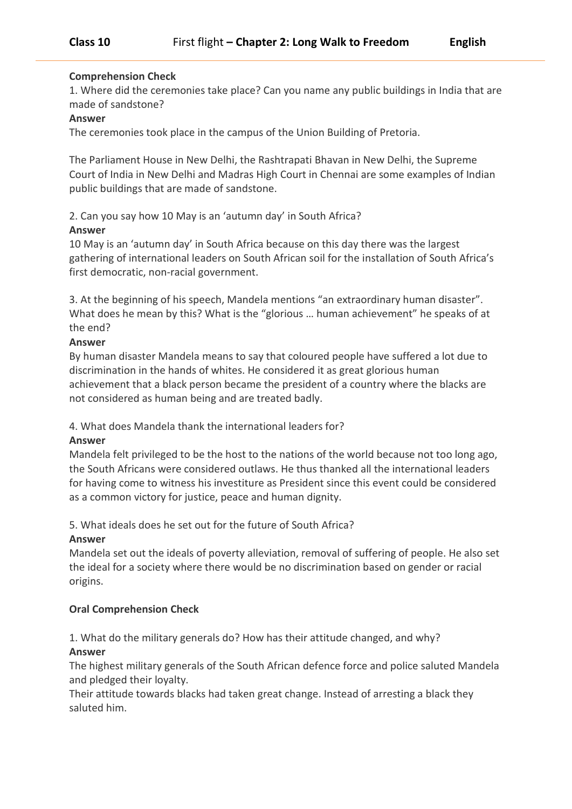# **Comprehension Check**

1. Where did the ceremonies take place? Can you name any public buildings in India that are made of sandstone?

### **Answer**

The ceremonies took place in the campus of the Union Building of Pretoria.

The Parliament House in New Delhi, the Rashtrapati Bhavan in New Delhi, the Supreme Court of India in New Delhi and Madras High Court in Chennai are some examples of Indian public buildings that are made of sandstone.

# 2. Can you say how 10 May is an 'autumn day' in South Africa?

### **Answer**

10 May is an 'autumn day' in South Africa because on this day there was the largest gathering of international leaders on South African soil for the installation of South Africa's first democratic, non-racial government.

3. At the beginning of his speech, Mandela mentions "an extraordinary human disaster". What does he mean by this? What is the "glorious … human achievement" he speaks of at the end?

### **Answer**

By human disaster Mandela means to say that coloured people have suffered a lot due to discrimination in the hands of whites. He considered it as great glorious human achievement that a black person became the president of a country where the blacks are not considered as human being and are treated badly.

### 4. What does Mandela thank the international leaders for?

### **Answer**

Mandela felt privileged to be the host to the nations of the world because not too long ago, the South Africans were considered outlaws. He thus thanked all the international leaders for having come to witness his investiture as President since this event could be considered as a common victory for justice, peace and human dignity.

# 5. What ideals does he set out for the future of South Africa?

### **Answer**

Mandela set out the ideals of poverty alleviation, removal of suffering of people. He also set the ideal for a society where there would be no discrimination based on gender or racial origins.

# **Oral Comprehension Check**

1. What do the military generals do? How has their attitude changed, and why?

# **Answer**

The highest military generals of the South African defence force and police saluted Mandela and pledged their loyalty.

Their attitude towards blacks had taken great change. Instead of arresting a black they saluted him.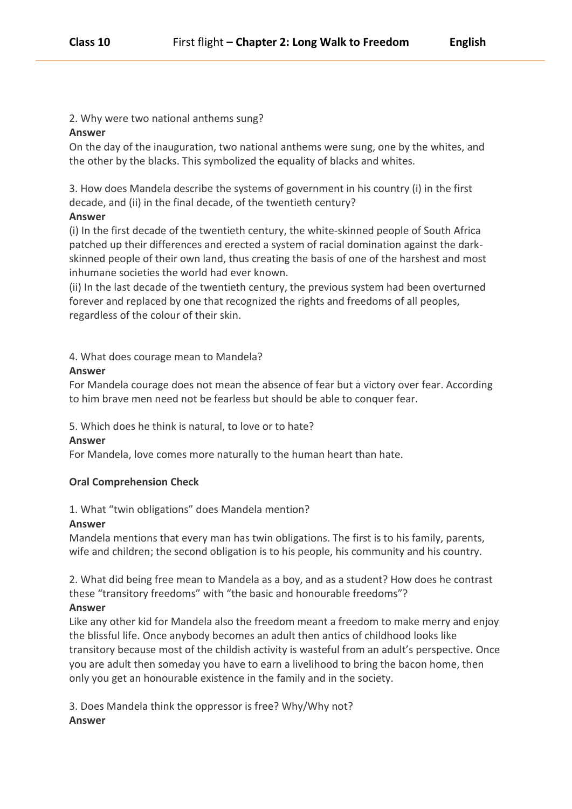2. Why were two national anthems sung?

### **Answer**

On the day of the inauguration, two national anthems were sung, one by the whites, and the other by the blacks. This symbolized the equality of blacks and whites.

3. How does Mandela describe the systems of government in his country (i) in the first decade, and (ii) in the final decade, of the twentieth century?

### **Answer**

(i) In the first decade of the twentieth century, the white-skinned people of South Africa patched up their differences and erected a system of racial domination against the darkskinned people of their own land, thus creating the basis of one of the harshest and most inhumane societies the world had ever known.

(ii) In the last decade of the twentieth century, the previous system had been overturned forever and replaced by one that recognized the rights and freedoms of all peoples, regardless of the colour of their skin.

# 4. What does courage mean to Mandela?

### **Answer**

For Mandela courage does not mean the absence of fear but a victory over fear. According to him brave men need not be fearless but should be able to conquer fear.

5. Which does he think is natural, to love or to hate?

### **Answer**

For Mandela, love comes more naturally to the human heart than hate.

# **Oral Comprehension Check**

1. What "twin obligations" does Mandela mention?

### **Answer**

Mandela mentions that every man has twin obligations. The first is to his family, parents, wife and children; the second obligation is to his people, his community and his country.

2. What did being free mean to Mandela as a boy, and as a student? How does he contrast these "transitory freedoms" with "the basic and honourable freedoms"?

# **Answer**

Like any other kid for Mandela also the freedom meant a freedom to make merry and enjoy the blissful life. Once anybody becomes an adult then antics of childhood looks like transitory because most of the childish activity is wasteful from an adult's perspective. Once you are adult then someday you have to earn a livelihood to bring the bacon home, then only you get an honourable existence in the family and in the society.

3. Does Mandela think the oppressor is free? Why/Why not? **Answer**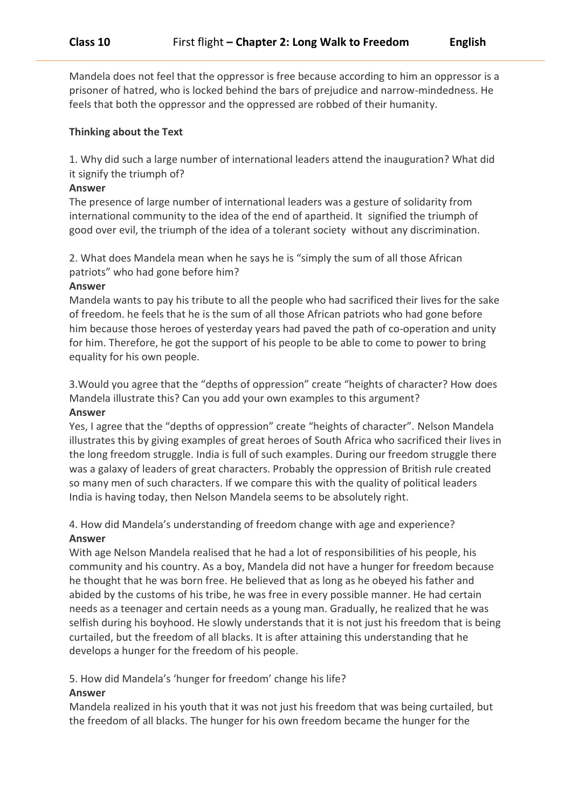Mandela does not feel that the oppressor is free because according to him an oppressor is a prisoner of hatred, who is locked behind the bars of prejudice and narrow-mindedness. He feels that both the oppressor and the oppressed are robbed of their humanity.

#### **Thinking about the Text**

1. Why did such a large number of international leaders attend the inauguration? What did it signify the triumph of?

#### **Answer**

The presence of large number of international leaders was a gesture of solidarity from international community to the idea of the end of apartheid. It signified the triumph of good over evil, the triumph of the idea of a tolerant society without any discrimination.

2. What does Mandela mean when he says he is "simply the sum of all those African patriots" who had gone before him?

#### **Answer**

Mandela wants to pay his tribute to all the people who had sacrificed their lives for the sake of freedom. he feels that he is the sum of all those African patriots who had gone before him because those heroes of yesterday years had paved the path of co-operation and unity for him. Therefore, he got the support of his people to be able to come to power to bring equality for his own people.

3.Would you agree that the "depths of oppression" create "heights of character? How does Mandela illustrate this? Can you add your own examples to this argument?

#### **Answer**

Yes, I agree that the "depths of oppression" create "heights of character". Nelson Mandela illustrates this by giving examples of great heroes of South Africa who sacrificed their lives in the long freedom struggle. India is full of such examples. During our freedom struggle there was a galaxy of leaders of great characters. Probably the oppression of British rule created so many men of such characters. If we compare this with the quality of political leaders India is having today, then Nelson Mandela seems to be absolutely right.

# 4. How did Mandela's understanding of freedom change with age and experience? **Answer**

With age Nelson Mandela realised that he had a lot of responsibilities of his people, his community and his country. As a boy, Mandela did not have a hunger for freedom because he thought that he was born free. He believed that as long as he obeyed his father and abided by the customs of his tribe, he was free in every possible manner. He had certain needs as a teenager and certain needs as a young man. Gradually, he realized that he was selfish during his boyhood. He slowly understands that it is not just his freedom that is being curtailed, but the freedom of all blacks. It is after attaining this understanding that he develops a hunger for the freedom of his people.

5. How did Mandela's 'hunger for freedom' change his life?

### **Answer**

Mandela realized in his youth that it was not just his freedom that was being curtailed, but the freedom of all blacks. The hunger for his own freedom became the hunger for the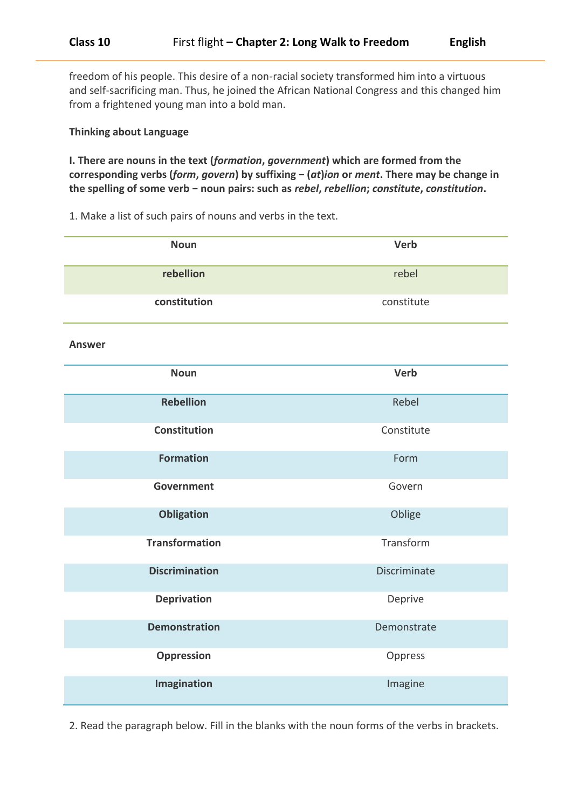freedom of his people. This desire of a non-racial society transformed him into a virtuous and self-sacrificing man. Thus, he joined the African National Congress and this changed him from a frightened young man into a bold man.

### **Thinking about Language**

**I. There are nouns in the text (***formation***,** *government***) which are formed from the corresponding verbs (***form***,** *govern***) by suffixing − (***at***)***ion* **or** *ment***. There may be change in the spelling of some verb − noun pairs: such as** *rebel***,** *rebellion***;** *constitute***,** *constitution***.**

1. Make a list of such pairs of nouns and verbs in the text.

| <b>Noun</b>           | <b>Verb</b>         |
|-----------------------|---------------------|
| rebellion             | rebel               |
| constitution          | constitute          |
| <b>Answer</b>         |                     |
| <b>Noun</b>           | Verb                |
| <b>Rebellion</b>      | Rebel               |
| <b>Constitution</b>   | Constitute          |
| <b>Formation</b>      | Form                |
| <b>Government</b>     | Govern              |
| <b>Obligation</b>     | Oblige              |
| <b>Transformation</b> | Transform           |
| <b>Discrimination</b> | <b>Discriminate</b> |
| <b>Deprivation</b>    | Deprive             |
| <b>Demonstration</b>  | Demonstrate         |
| Oppression            | Oppress             |
| Imagination           | Imagine             |

2. Read the paragraph below. Fill in the blanks with the noun forms of the verbs in brackets.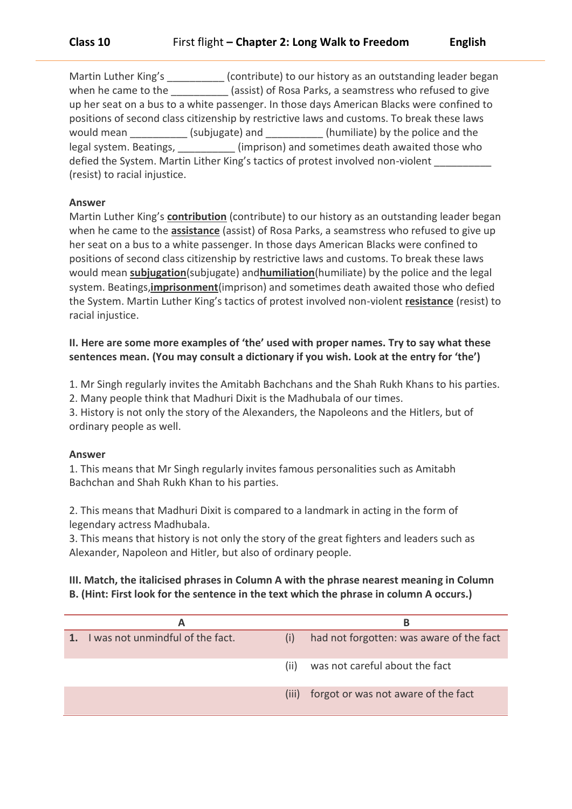Martin Luther King's \_\_\_\_\_\_\_\_\_(contribute) to our history as an outstanding leader began when he came to the \_\_\_\_\_\_\_\_\_\_\_\_ (assist) of Rosa Parks, a seamstress who refused to give up her seat on a bus to a white passenger. In those days American Blacks were confined to positions of second class citizenship by restrictive laws and customs. To break these laws would mean (subjugate) and (humiliate) by the police and the legal system. Beatings,  $\qquad \qquad$  (imprison) and sometimes death awaited those who defied the System. Martin Lither King's tactics of protest involved non-violent (resist) to racial injustice.

### **Answer**

Martin Luther King's **contribution** (contribute) to our history as an outstanding leader began when he came to the **assistance** (assist) of Rosa Parks, a seamstress who refused to give up her seat on a bus to a white passenger. In those days American Blacks were confined to positions of second class citizenship by restrictive laws and customs. To break these laws would mean **subjugation**(subjugate) and**humiliation**(humiliate) by the police and the legal system. Beatings,**imprisonment**(imprison) and sometimes death awaited those who defied the System. Martin Luther King's tactics of protest involved non-violent **resistance** (resist) to racial injustice.

# **II. Here are some more examples of 'the' used with proper names. Try to say what these sentences mean. (You may consult a dictionary if you wish. Look at the entry for 'the')**

1. Mr Singh regularly invites the Amitabh Bachchans and the Shah Rukh Khans to his parties.

2. Many people think that Madhuri Dixit is the Madhubala of our times.

3. History is not only the story of the Alexanders, the Napoleons and the Hitlers, but of ordinary people as well.

# **Answer**

1. This means that Mr Singh regularly invites famous personalities such as Amitabh Bachchan and Shah Rukh Khan to his parties.

2. This means that Madhuri Dixit is compared to a landmark in acting in the form of legendary actress Madhubala.

3. This means that history is not only the story of the great fighters and leaders such as Alexander, Napoleon and Hitler, but also of ordinary people.

# **III. Match, the italicised phrases in Column A with the phrase nearest meaning in Column B. (Hint: First look for the sentence in the text which the phrase in column A occurs.)**

| А                                |      | в                                         |
|----------------------------------|------|-------------------------------------------|
| I was not unmindful of the fact. | (i)  | had not forgotten: was aware of the fact  |
|                                  | (ii) | was not careful about the fact            |
|                                  |      | (iii) forgot or was not aware of the fact |